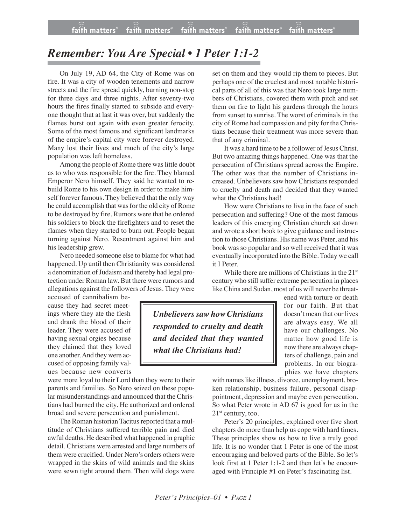## *Remember: You Are Special • 1 Peter 1:1-2*

On July 19, AD 64, the City of Rome was on fire. It was a city of wooden tenements and narrow streets and the fire spread quickly, burning non-stop for three days and three nights. After seventy-two hours the fires finally started to subside and everyone thought that at last it was over, but suddenly the flames burst out again with even greater ferocity. Some of the most famous and significant landmarks of the empire's capital city were forever destroyed. Many lost their lives and much of the city's large population was left homeless.

Among the people of Rome there waslittle doubt as to who was responsible for the fire. They blamed Emperor Nero himself. They said he wanted to rebuild Rome to his own design in order to make himself forever famous. They believed that the only way he could accomplish that wasfor the old city of Rome to be destroyed by fire. Rumors were that he ordered his soldiers to block the firefighters and to reset the flames when they started to burn out. People began turning against Nero. Resentment against him and his leadership grew.

Nero needed someone else to blame for what had happened. Up until then Christianity was considered a denomination of Judaism and thereby had legal protection under Roman law. But there were rumors and allegations against the followers of Jesus. They were

accused of cannibalism because they had secret meetings where they ate the flesh and drank the blood of their leader. They were accused of having sexual orgies because they claimed that they loved one another. And they were accused of opposing family values because new converts

were more loyal to their Lord than they were to their parents and families. So Nero seized on these popular misunderstandings and announced that the Christians had burned the city. He authorized and ordered broad and severe persecution and punishment.

The Roman historian Tacitus reported that a multitude of Christians suffered terrible pain and died awful deaths. He described what happened in graphic detail. Christians were arrested and large numbers of them were crucified. Under Nero's orders others were wrapped in the skins of wild animals and the skins were sewn tight around them. Then wild dogs were

set on them and they would rip them to pieces. But perhaps one of the cruelest and most notable historical parts of all of this was that Nero took large numbers of Christians, covered them with pitch and set them on fire to light his gardens through the hours from sunset to sunrise. The worst of criminals in the city of Rome had compassion and pity for the Christians because their treatment was more severe than that of any criminal.

It was a hard time to be a follower of Jesus Christ. But two amazing things happened. One was that the persecution of Christians spread across the Empire. The other was that the number of Christians increased. Unbelievers saw how Christians responded to cruelty and death and decided that they wanted what the Christians had!

How were Christians to live in the face of such persecution and suffering? One of the most famous leaders of this emerging Christian church sat down and wrote a short book to give guidance and instruction to those Christians. His name was Peter, and his book was so popular and so well received that it was eventually incorporated into the Bible. Today we call it I Peter.

While there are millions of Christians in the 21<sup>st</sup> century who still suffer extreme persecution in places like China and Sudan, most of us will never be threat-

*<i>Unbelievers saw how Christians responded to cruelty and death and decided that they wanted what the Christians had!*

ened with torture or death for our faith. But that doesn't mean that our lives are always easy. We all have our challenges. No matter how good life is now there are always chapters of challenge, pain and problems. In our biographies we have chapters

with names like illness, divorce, unemployment, broken relationship, business failure, personal disappointment, depression and maybe even persecution. So what Peter wrote in AD 67 is good for us in the  $21<sup>st</sup>$  century, too.

Peter's 20 principles, explained over five short chapters do more than help us cope with hard times. These principles show us how to live a truly good life. It is no wonder that 1 Peter is one of the most encouraging and beloved parts of the Bible. So let's look first at 1 Peter 1:1-2 and then let's be encouraged with Principle #1 on Peter's fascinating list.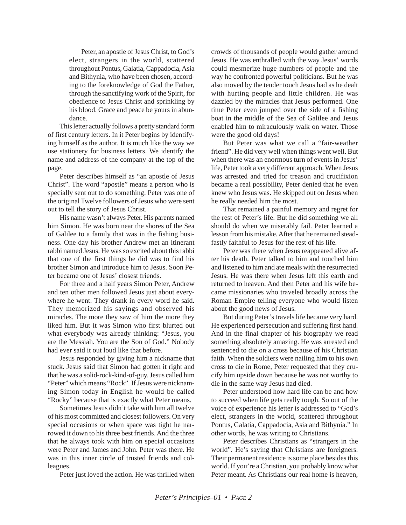Peter, an apostle of Jesus Christ, to God's elect, strangers in the world, scattered throughout Pontus, Galatia, Cappadocia, Asia and Bithynia, who have been chosen, according to the foreknowledge of God the Father, through the sanctifying work of the Spirit, for obedience to Jesus Christ and sprinkling by his blood. Grace and peace be yours in abundance.

This letter actually follows a pretty standard form of first century letters. In it Peter begins by identifying himself as the author. It is much like the way we use stationery for business letters. We identify the name and address of the company at the top of the page.

Peter describes himself as "an apostle of Jesus Christ". The word "apostle" means a person who is specially sent out to do something. Peter was one of the original Twelve followers of Jesus who were sent out to tell the story of Jesus Christ.

His name wasn't always Peter. His parents named him Simon. He was born near the shores of the Sea of Galilee to a family that was in the fishing business. One day his brother Andrew met an itinerant rabbi named Jesus. He was so excited about this rabbi that one of the first things he did was to find his brother Simon and introduce him to Jesus. Soon Peter became one of Jesus' closest friends.

For three and a half years Simon Peter, Andrew and ten other men followed Jesus just about everywhere he went. They drank in every word he said. They memorized his sayings and observed his miracles. The more they saw of him the more they liked him. But it was Simon who first blurted out what everybody was already thinking: "Jesus, you are the Messiah. You are the Son of God." Nobody had ever said it out loud like that before.

Jesus responded by giving him a nickname that stuck. Jesus said that Simon had gotten it right and that he was a solid-rock-kind-of-guy. Jesus called him "Peter" which means "Rock". If Jesus were nicknaming Simon today in English he would be called "Rocky" because that is exactly what Peter means.

Sometimes Jesus didn't take with him all twelve of his most committed and closest followers. On very special occasions or when space was tight he narrowed it down to his three best friends. And the three that he always took with him on special occasions were Peter and James and John. Peter was there. He was in this inner circle of trusted friends and colleagues.

Peter just loved the action. He was thrilled when

crowds of thousands of people would gather around Jesus. He was enthralled with the way Jesus' words could mesmerize huge numbers of people and the way he confronted powerful politicians. But he was also moved by the tender touch Jesus had as he dealt with hurting people and little children. He was dazzled by the miracles that Jesus performed. One time Peter even jumped over the side of a fishing boat in the middle of the Sea of Galilee and Jesus enabled him to miraculously walk on water. Those were the good old days!

But Peter was what we call a "fair-weather friend". He did very well when things went well. But when there was an enormous turn of events in Jesus' life, Peter took a very different approach. When Jesus was arrested and tried for treason and crucifixion became a real possibility, Peter denied that he even knew who Jesus was. He skipped out on Jesus when he really needed him the most.

That remained a painful memory and regret for the rest of Peter's life. But he did something we all should do when we miserably fail. Peter learned a lesson from his mistake. After that he remained steadfastly faithful to Jesus for the rest of his life.

Peter was there when Jesus reappeared alive after his death. Peter talked to him and touched him and listened to him and ate meals with the resurrected Jesus. He was there when Jesus left this earth and returned to heaven. And then Peter and his wife became missionaries who traveled broadly across the Roman Empire telling everyone who would listen about the good news of Jesus.

But during Peter's travels life became very hard. He experienced persecution and suffering first hand. And in the final chapter of his biography we read something absolutely amazing. He was arrested and sentenced to die on a cross because of his Christian faith. When the soldiers were nailing him to his own cross to die in Rome, Peter requested that they crucify him upside down because he was not worthy to die in the same way Jesus had died.

Peter understood how hard life can be and how to succeed when life gets really tough. So out of the voice of experience his letter is addressed to "God's elect, strangers in the world, scattered throughout Pontus, Galatia, Cappadocia, Asia and Bithynia." In other words, he was writing to Christians.

Peter describes Christians as "strangers in the world". He's saying that Christians are foreigners. Their permanent residence is some place besides this world. If you're a Christian, you probably know what Peter meant. As Christians our real home is heaven,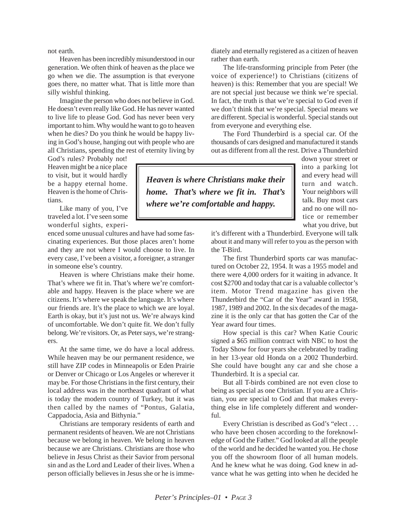not earth.

Heaven has been incredibly misunderstood in our generation. We often think of heaven as the place we go when we die. The assumption is that everyone goes there, no matter what. That is little more than silly wishful thinking.

Imagine the person who does not believe in God. He doesn't even really like God. He has never wanted to live life to please God. God has never been very important to him. Why would he want to go to heaven when he dies? Do you think he would be happy living in God's house, hanging out with people who are all Christians, spending the rest of eternity living by

God's rules? Probably not! Heaven might be a nice place to visit, but it would hardly be a happy eternal home. Heaven is the home of Christians.

Like many of you, I've traveled a lot. I've seen some wonderful sights, experi-

enced some unusual cultures and have had some fascinating experiences. But those places aren't home and they are not where I would choose to live. In every case, I've been a visitor, a foreigner, a stranger in someone else's country.

Heaven is where Christians make their home. That's where we fit in. That's where we're comfortable and happy. Heaven is the place where we are citizens. It's where we speak the language. It's where our friends are. It's the place to which we are loyal. Earth is okay, but it's just not us. We're always kind of uncomfortable. We don't quite fit. We don't fully belong. We're visitors. Or, as Peter says, we're strangers.

At the same time, we do have a local address. While heaven may be our permanent residence, we still have ZIP codes in Minneapolis or Eden Prairie or Denver or Chicago or Los Angeles or wherever it may be. For those Christians in the first century, their local address was in the northeast quadrant of what is today the modern country of Turkey, but it was then called by the names of "Pontus, Galatia, Cappadocia, Asia and Bithynia."

Christians are temporary residents of earth and permanent residents of heaven. We are not Christians because we belong in heaven. We belong in heaven because we are Christians. Christians are those who believe in Jesus Christ as their Savior from personal sin and as the Lord and Leader of their lives. When a person officially believes in Jesus she or he is immediately and eternally registered as a citizen of heaven rather than earth.

The life-transforming principle from Peter (the voice of experience!) to Christians (citizens of heaven) is this: Remember that you are special! We are not special just because we think we're special. In fact, the truth is that we're special to God even if we don't think that we're special. Special means we are different. Special is wonderful. Special stands out from everyone and everything else.

The Ford Thunderbird is a special car. Of the thousands of cars designed and manufactured it stands out as different from all the rest. Drive a Thunderbird

*Heaven is where Christians make their home. That's where we fit in. That's where we're comfortable and happy.*

down your street or into a parking lot and every head will turn and watch. Your neighbors will talk. Buy most cars and no one will notice or remember what you drive, but

it's different with a Thunderbird. Everyone will talk about it and many will refer to you as the person with the T-Bird.

The first Thunderbird sports car was manufactured on October 22, 1954. It was a 1955 model and there were 4,000 orders for it waiting in advance. It cost \$2700 and today that car is a valuable collector's item. Motor Trend magazine has given the Thunderbird the "Car of the Year" award in 1958, 1987, 1989 and 2002. In the six decades of the magazine it is the only car that has gotten the Car of the Year award four times.

How special is this car? When Katie Couric signed a \$65 million contract with NBC to host the Today Show for four years she celebrated by trading in her 13-year old Honda on a 2002 Thunderbird. She could have bought any car and she chose a Thunderbird. It is a special car.

But all T-birds combined are not even close to being as special as one Christian. If you are a Christian, you are special to God and that makes everything else in life completely different and wonderful.

Every Christian is described as God's "elect . . . who have been chosen according to the foreknowledge of God the Father." God looked at all the people of the world and he decided he wanted you. He chose you off the showroom floor of all human models. And he knew what he was doing. God knew in advance what he was getting into when he decided he